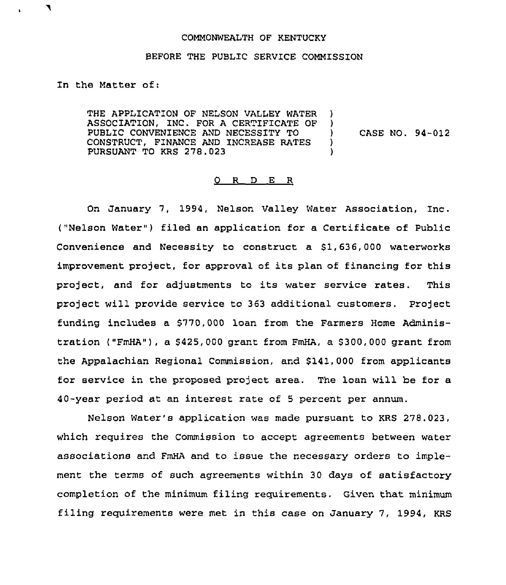## COMMONWEALTH OF KENTUCKY

## BEFORE THE PUBLIC SERVICE COMMISSION

Zn the Matter of:

THE APPLICATION OF NELSON VALLEY WATER )<br>ASSOCIATION, INC, FOR A CERTIFICATE OF ) ASSOCIATION, INC. FOR A CERTIFICATE OF )<br>PUBLIC CONVENIENCE AND NECESSITY TO ) PUBLIC CONVENIENCE AND NECESSITY TO  $\overrightarrow{O}$  (ONSTRUCT. FINANCE AND INCREASE RATES ) CONSTRUCT, FINANCE AND INCREASE RATES )<br>PURSUANT TO KRS 278.023 PURSUANT TO KRS 278.023

CASE NO. 94-012

## 0 R D E R

On January 7, 1994, Nelson Valley Water Association, Inc. ("Nelson Water") filed an application for a Certificate of Public Convenience and Necessity to construct a 81,636,000 waterworks improvement project, for approval of its plan of financing for this project, and for adjustments to its water service rates. This project will provide service to 363 additional customers. Project funding includes a \$770,000 loan from the Farmers Home Administration ("FmHA"), a  $$425,000$  grant from FmHA, a  $$300,000$  grant from the Appalachian Regional Commission, and \$141,000 from applicants for service in the proposed proiect area. The loan will be for a 40-year period at an interest rate of <sup>5</sup> percent per annum.

Nelson Water's application was made pursuant to KRS 278.023, which requires the Commission to accept agreements between water associations and FmHA and to issue the necessary orders to implement the terms of such agreements within 30 days of satisfactory completion of the minimum filing requirements. Given that minimum filing requirements were met in this case on January 7, 1994, KRS

 $\blacktriangledown$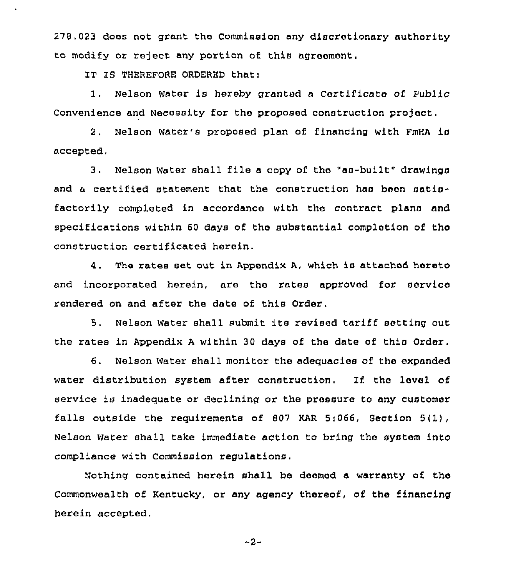278,023 does not grant the Commission any discretionary authority to modify or reject any portion of this agreomont.

IT IS THEREFORE ORDERED that:

1. Nelson Water is hereby granted <sup>a</sup> Cortificato of Public Convenience and Necessity for the proposed construction project.

2. Nelson Water's proposed plan of financing with FmHA is accepted.

3. Nelson Water shall file <sup>a</sup> copy of tho "as-built" drawings and a certified statement that the construction has boon satisfactorily completed in accordance with the contract plans and specifications within 60 days of the substantial completion of the construction certificated herein.

4. The rates set out in Appendix A, which is attached hereto and incorporated herein, are tho rates approved for service rendered on and after the date of this Order,

5. Nelson water shall submit its revised tariff setting out the rates in Appendix <sup>A</sup> within 30 days of the date of this Ordor,

6. Nelson Water shall monitor the adequacies of the expanded water distribution system after construction. If the level of service is inadequate or declining or the pressure to any customer falls outside the requirements of 807 KAR 5:066, Section 5(1), Nelson Water shall take immediate action to bring the system into compliance with Commission regulations.

Nothing contained herein shall be deemed a warranty of tho Commonwealth of Kentucky, or any agency thereof, of the financing herein accepted.

-2-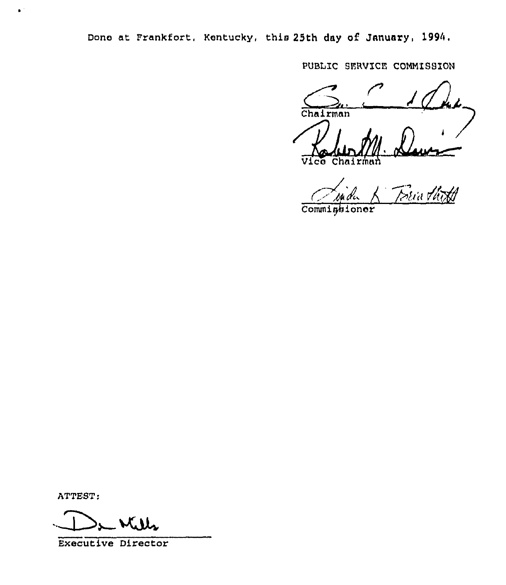Done at Frankfort, Kentucky, this 25th day of January, 1994.

PUBLIC SERVICE COMMISSION

Chairman

Vice Chairman

.<br>Bria thith

Commissioner

ATTEST:

 $\mathbf{r}^{\mathrm{th}}$ 

**Executive Director**